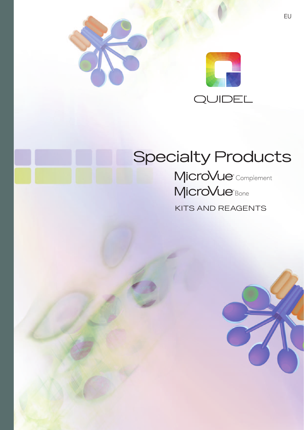



## **Specialty Products**

MicroVue<sup>®</sup> Complement MicroVue<sup>Bone</sup>

KITS AND REAGENTS

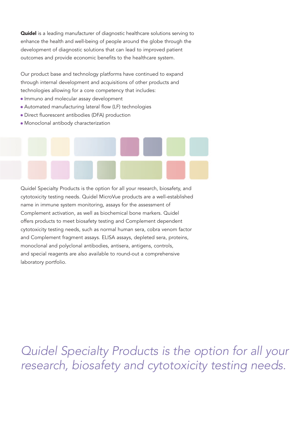**Quidel** is a leading manufacturer of diagnostic healthcare solutions serving to enhance the health and well-being of people around the globe through the development of diagnostic solutions that can lead to improved patient outcomes and provide economic benefits to the healthcare system.

Our product base and technology platforms have continued to expand through internal development and acquisitions of other products and technologies allowing for a core competency that includes:

- **Immuno and molecular assay development**
- Automated manufacturing lateral flow (LF) technologies
- Direct fluorescent antibodies (DFA) production
- Monoclonal antibody characterization

Quidel Specialty Products is the option for all your research, biosafety, and cytotoxicity testing needs. Quidel MicroVue products are a well-established name in immune system monitoring, assays for the assessment of Complement activation, as well as biochemical bone markers. Quidel offers products to meet biosafety testing and Complement dependent cytotoxicity testing needs, such as normal human sera, cobra venom factor and Complement fragment assays. ELISA assays, depleted sera, proteins, monoclonal and polyclonal antibodies, antisera, antigens, controls, and special reagents are also available to round-out a comprehensive laboratory portfolio.

Quidel Specialty Products is the option for all your research, biosafety and cytotoxicity testing needs.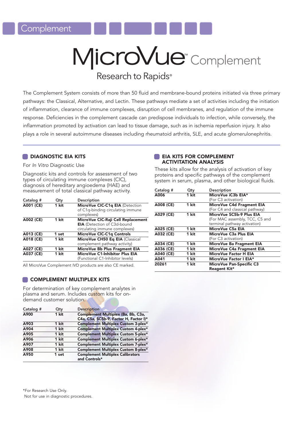## MicroVue<sup>®</sup> Complement Research to Rapids<sup>®</sup>

The Complement System consists of more than 50 fluid and membrane-bound proteins initiated via three primary pathways: the Classical, Alternative, and Lectin. These pathways mediate a set of activities including the initiation of inflammation, clearance of immune complexes, disruption of cell membranes, and regulation of the immune response. Deficiencies in the complement cascade can predispose individuals to infection, while conversely, the inflammation promoted by activation can lead to tissue damage, such as in ischemia reperfusion injury. It also plays a role in several autoimmune diseases including rheumatoid arthritis, SLE, and acute glomerulonephritis.

#### **DIAGNOSTIC EIA KITS**

For In Vitro Diagnostic Use

Diagnostic kits and controls for assessment of two types of circulating immune complexes (CIC), diagnosis of hereditary angioedema (HAE) and measurement of total classical pathway activity.

| Catalog # | Qty   | Description                        |
|-----------|-------|------------------------------------|
| A001 (CE) | 1 kit | MicroVue CIC-C1q EIA (Detection    |
|           |       | of C1q-binding circulating immune  |
|           |       | complexes)                         |
| A002 (CE) | 1 kit | MicroVue CIC-Raji Cell Replacement |
|           |       | <b>EIA</b> (Detection of C3d-bound |
|           |       | circulating immune complexes)      |
| A013 (CE) | 1 set | <b>MicroVue CIC-C1q Controls</b>   |
| A018 (CE) | 1 kit | MicroVue CH50 Eq EIA (Classical    |
|           |       | complement pathway activity)       |
| A027 (CE) | 1 kit | MicroVue Bb Plus Fragment EIA      |
| A037 (CE) | 1 kit | MicroVue C1-Inhibitor Plus EIA     |
|           |       | (Functional C1-Inhibitor levels)   |

All MicroVue Complement IVD products are also CE marked.

#### **COMPLEMENT MULTIPLEX KITS**

For determination of key complement analytes in plasma and serum. Includes custom kits for ondemand customer solution.

| Catalog # | Qty   | <b>Description</b>                         |
|-----------|-------|--------------------------------------------|
| A900      | 1 kit | Complement Multiplex (Ba, Bb, C3a,         |
|           |       | C4a, C5a, SC5b-9, Factor H, Factor I)*     |
| A903      | 1 kit | <b>Complement Multiplex Custom 3-plex*</b> |
| A904      | 1 kit | <b>Complement Multiplex Custom 4-plex*</b> |
| A905      | 1 kit | <b>Complement Multiplex Custom 5-plex*</b> |
| A906      | 1 kit | Complement Multiplex Custom 6-plex*        |
| A907      | 1 kit | Complement Multiplex Custom 7-plex*        |
| A908      | 1 kit | Complement Multiplex Custom 8-plex*        |
| A950      | 1 set | <b>Complement Multiplex Calibrators</b>    |
|           |       | and Controls*                              |

\*For Research Use Only. Not for use in diagnostic procedures.

#### **EIA KITS FOR COMPLEMENT** ACTIVITATION ANALYSIS

These kits allow for the analysis of activation of key proteins and specific pathways of the complement system in serum, plasma, and other biological fluids.

| Catalog #     | Qty   | Description                        |  |  |  |
|---------------|-------|------------------------------------|--|--|--|
| A006<br>1 kit |       | MicroVue iC3b EIA*                 |  |  |  |
|               |       | (For C3 activation)                |  |  |  |
| A008 (CE)     | 1 kit | <b>MicroVue C4d Fragment EIA</b>   |  |  |  |
|               |       | (For C4 and classical pathway)     |  |  |  |
| A029 (CE)     | 1 kit | MicroVue SC5b-9 Plus EIA           |  |  |  |
|               |       | (For MAC assembly, TCC, C5 and     |  |  |  |
|               |       | terminal pathway activation)       |  |  |  |
| A025 (CE)     | 1 kit | MicroVue C5a EIA                   |  |  |  |
| A032 (CE)     | 1 kit | MicroVue C <sub>3</sub> a Plus EIA |  |  |  |
|               |       | (For C3 activation)                |  |  |  |
| A034 (CE)     | 1 kit | MicroVue Ba Fragment EIA           |  |  |  |
| A036 (CE)     | 1 kit | MicroVue C4a Fragment EIA          |  |  |  |
| A040 (CE)     | 1 kit | MicroVue Factor H EIA              |  |  |  |
| A041          | 1 kit | MicroVue Factor I EIA*             |  |  |  |
| 20261         | 1 kit | <b>MicroVue Pan-Specific C3</b>    |  |  |  |
|               |       | Reagent Kit*                       |  |  |  |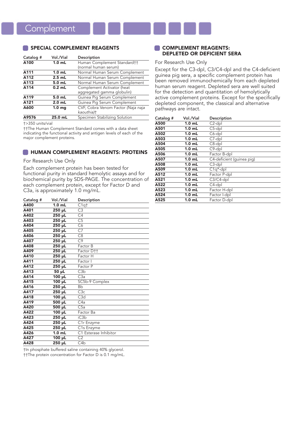#### SPECIAL COMPLEMENT REAGENTS

| Catalog # | Vol./Vial         | Description                        |
|-----------|-------------------|------------------------------------|
| A100      | 1.0 <sub>mL</sub> | Human Complement Standard††        |
|           |                   | (normal human serum)               |
| A111      | 1.0 <sub>mL</sub> | Normal Human Serum Complement      |
| A112      | $2.5$ mL          | Normal Human Serum Complement      |
| A113      | 5.0 <sub>mL</sub> | Normal Human Serum Complement      |
| A114      | $0.2$ mL          | Complement Activator (heat         |
|           |                   | aggregated gamma globulin)         |
| A119      | 5.0 mL            | Guinea Pig Serum Complement        |
| A121      | $2.0$ mL          | Guinea Pig Serum Complement        |
| A600      | 1.0 <sub>mq</sub> | CVF, Cobra Venom Factor (Naja naja |
|           |                   | kaouthia)†                         |
| A9576     | 25.0 mL           | Specimen Stabilizing Solution      |

†>350 units/vial

††The Human Complement Standard comes with a data sheet indicating the functional activity and antigen levels of each of the major complement proteins.

#### **NUMAN COMPLEMENT REAGENTS: PROTEINS**

#### For Research Use Only

Each complement protein has been tested for functional purity in standard hemolytic assays and for biochemical purity by SDS-PAGE. The concentration of each complement protein, except for Factor D and C3a, is approximately 1.0 mg/mL.

| Catalog # | Vol./Vial           | Description             |
|-----------|---------------------|-------------------------|
| A400      | $1.0$ mL            | $\overline{C1}$ qt      |
| A401      | 250 µL              | C <sub>3</sub>          |
| A402      | 250 µL              | $\overline{C4}$         |
| A403      | $250 \mu L$         | $\overline{C5}$         |
| A404      | 250 µL              | C6                      |
| A405      | $250 \mu L$         | $\overline{C7}$         |
| A406      | $250 \mu L$         | $\overline{C8}$         |
| A407      | 250 µL              | C9                      |
| A408      | $250 \mu L$         | Factor B                |
| A409      | 250 µL              | Factor D <sup>++</sup>  |
| A410      | 250 µL              | Factor H                |
| A411      | $250 \mu L$         | Factor I                |
| A412      | 250 µL              | Factor P                |
| A413      | $50 \mu L$          | C3b                     |
| A414      | $\overline{100}$ µL | C3a                     |
| A415      | 100 µL              | SC5b-9 Complex          |
| A416      | 250 µL              | <b>Bb</b>               |
| A417      | 250 µL              | C3c                     |
| A418      | $100 \mu L$         | C3d                     |
| A419      | 500 µL              | C4a                     |
| A420      | $500 \mu L$         | $\overline{\text{C5a}}$ |
| A422      | 100 µL              | Factor Ba               |
| A423      | 250 µL              | iC <sub>3</sub> b       |
| A424      | $250 \mu L$         | C1r Enzyme              |
| A425      | $250 \mu L$         | C1s Enzyme              |
| A426      | $1.0$ mL            | C1 Esterase Inhibitor   |
| A427      | 100 uL              | C <sub>2</sub>          |
| A428      | 250 µL              | C4b                     |

†In phosphate buffered saline containing 40% glycerol. ††The protein concentration for Factor D is 0.1 mg/mL.

#### **COMPLEMENT REAGENTS:** DEPLETED OR DEFICIENT SERA

#### For Research Use Only

Except for the C3-dpl, C3/C4-dpl and the C4-deficient guinea pig sera, a specific complement protein has been removed immunochemically from each depleted human serum reagent. Depleted sera are well suited for the detection and quantitation of hemolytically active complement proteins. Except for the specifically depleted component, the classical and alternative pathways are intact.

| Catalog # | Vol./Vial         | Description               |
|-----------|-------------------|---------------------------|
| A500      | 1.0 mL            | C <sub>2</sub> -dpl       |
| A501      | $1.0$ mL          | $C5$ -dpl                 |
| A502      | 1.0 mL            | C6-dpl                    |
| A503      | 1.0 <sub>mL</sub> | C7-dpl                    |
| A504      | 1.0 <sub>mL</sub> | $C8$ -dpl                 |
| A505      | 1.0 <sub>mL</sub> | C9-dpl                    |
| A506      | $1.0$ mL          | Factor B-dpl              |
| A507      | 1.0 <sub>mL</sub> | C4-deficient (guinea pig) |
| A508      | 1.0 <sub>mL</sub> | C <sub>3</sub> -dpl       |
| A509      | 1.0 mL            | $C1q^*$ -dpl              |
| A512      | 1.0 <sub>mL</sub> | Factor P-dpl              |
| A521      | 1.0 <sub>mL</sub> | $C3/C4$ -dpl              |
| A522      | 1.0 <sub>mL</sub> | C4-dpl                    |
| A523      | 1.0 mL            | Factor H-dpl              |
| A524      | 1.0 mL            | Factor I-dpl              |
| A525      | 1.0 <sub>mL</sub> | Factor D-dpl              |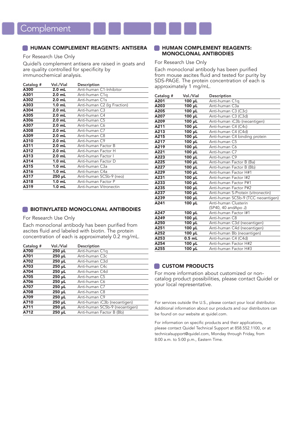#### **ENGINEER HUMAN COMPLEMENT REAGENTS: ANTISERA**

For Research Use Only

Quidel's complement antisera are raised in goats and are quality controlled for specificity by immunochemical analysis.

| Catalog # | Vol./Vial         | Description                 |
|-----------|-------------------|-----------------------------|
| A300      | $2.0$ mL          | Anti-human C1-Inhibitor     |
| A301      | $2.0$ mL          | Anti-human C1q              |
| A302      | $2.0$ mL          | Anti-human C1s              |
| A303      | 1.0 <sub>mL</sub> | Anti-human C2 (Ig Fraction) |
| A304      | $2.0$ mL          | Anti-human C3               |
| A305      | $2.0$ mL          | Anti-human C4               |
| A306      | $2.0$ mL          | Anti-human C5               |
| A307      | $2.0$ mL          | Anti-human C6               |
| A308      | $2.0$ mL          | Anti-human C7               |
| A309      | $2.0$ mL          | Anti-human C8               |
| A310      | $2.0$ mL          | Anti-human C9               |
| A311      | $2.0$ mL          | Anti-human Factor B         |
| A312      | $2.0$ mL          | Anti-human Factor H         |
| A313      | $2.0$ mL          | Anti-human Factor I         |
| A314      | 1.0 <sub>mL</sub> | Anti-human Factor D         |
| A315      | 1.0 <sub>mL</sub> | Anti-human C3a              |
| A316      | $1.0$ mL          | Anti-human C4a              |
| A317      | 250 µL            | Anti-human SC5b-9 (neo)     |
| A318      | 1.0 <sub>mL</sub> | Anti-human Factor P         |
| A319      | $1.0$ mL          | Anti-human Vitronectin      |
|           |                   |                             |

#### **BIOTINYLATED MONOCLONAL ANTIBODIES**

#### For Research Use Only

Each monoclonal antibody has been purified from ascites fluid and labeled with biotin. The protein concentration of each is approximately 0.2 mg/mL.

| Catalog # | Vol./Vial   | Description                    |
|-----------|-------------|--------------------------------|
| A700      | $250 \mu L$ | Anti-human C1q                 |
| A701      | 250 µL      | Anti-human C3c                 |
| A702      | 250 µL      | Anti-human C3d                 |
| A703      | $250 \mu L$ | Anti-human C4c                 |
| A704      | $250 \mu L$ | Anti-human C4d                 |
| A705      | $250 \mu L$ | Anti-human C5                  |
| A706      | $250 \mu L$ | Anti-human C6                  |
| A707      | 250 µL      | Anti-human C7                  |
| A708      | $250 \mu L$ | Anti-human C8                  |
| A709      | $250 \mu L$ | Anti-human C9                  |
| A710      | $250 \mu L$ | Anti-human iC3b (neoantigen)   |
| A711      | $250 \mu L$ | Anti-human SC5b-9 (neoantigen) |
| A712      | $250 \mu L$ | Anti-human Factor B (Bb)       |

#### **EXPLOREMENT REAGENTS:** MONOCLONAL ANTIBODIES

For Research Use Only

Each monoclonal antibody has been purified from mouse ascites fluid and tested for purity by SDS-PAGE. The protein concentration of each is approximately 1 mg/mL.

| Catalog # | Vol./Vial   | Description                        |
|-----------|-------------|------------------------------------|
| A201      | 100 µL      | Anti-human C1q                     |
| A203      | 100 µL      | Anti-human C3a                     |
| A205      | $100 \mu L$ | Anti-human C3 (C3c)                |
| A207      | 100 µL      | Anti-human C3 (C3d)                |
| A209      | 100 µL      | Anti-human iC3b (neoantigen)       |
| A211      | 100 µL      | Anti-human C4 (C4c)                |
| A213      | 100 µL      | Anti-human C4 (C4d)                |
| A215      | $100 \mu L$ | Anti-human C4 binding protein      |
| A217      | 100 µL      | Anti-human C5                      |
| A219      | $100 \mu L$ | Anti-human C6                      |
| A221      | 100 µL      | Anti-human C7                      |
| A223      | $100 \mu L$ | Anti-human C9                      |
| A225      | $100 \mu L$ | Anti-human Factor B (Ba)           |
| A227      | 100 µL      | Anti-human Factor B (Bb)           |
| A229      | $100 \mu L$ | Anti-human Factor H#1              |
| A231      | 100 µL      | Anti-human Factor I#2              |
| A233      | 100 µL      | Anti-human Factor P#1              |
| A235      | $100 \mu L$ | Anti-human Factor P#2              |
| A237      | $100 \mu L$ | Anti-human S-Protein (vitronectin) |
| A239      | 100 µL      | Anti-human SC5b-9 (TCC neoantigen) |
| A241      | $100 \mu L$ | Anti-human Clusterin               |
|           |             | (SP40, 40 andApo J)                |
| A247      | $100 \mu L$ | Anti-human Factor I#1              |
| A249      | 100 µL      | Anti-human C8                      |
| A250      | $100 \mu L$ | Anti-human C3d (neoantigen)        |
| A251      | $100 \mu L$ | Anti-human C4d (neoantigen)        |
| A252      | $100 \mu L$ | Anti-human Bb (neoantigen)         |
| A253      | $0.5$ mL    | Anti-human C4 (C4d)                |
| A254      | $100 \mu L$ | Anti-human Factor H#2              |
| A255      | 100 µL      | Anti-human Factor H#3              |

#### CUSTOM PRODUCTS

For more information about customized or noncatalog product possibilities, please contact Quidel or your local representative.

For services outside the U.S., please contact your local distributor. Additional information about our products and our distributors can be found on our website at quidel.com.

For information on specific products and their applications, please contact Quidel Technical Support at 858.552.1100, or at technicalsupport@quidel.com, Monday through Friday, from 8:00 a.m. to 5:00 p.m., Eastern Time.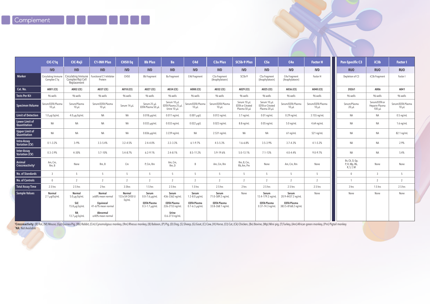|                                        | CIC-C1q                           | <b>CIC-Raji</b>                                        | <b>C1-INH Plus</b>                      | CH50 Eq                                 | <b>Bb Plus</b>                             | <b>Ba</b>                                       | C4d                                        | <b>C3a Plus</b>                              | <b>SC5b-9 Plus</b>                                     | C5a                                                    | C4a                                      | <b>Factor H</b>                 | Pan-Specific C3                               | iC <sub>3</sub> b                              | <b>Factor I</b>                 |
|----------------------------------------|-----------------------------------|--------------------------------------------------------|-----------------------------------------|-----------------------------------------|--------------------------------------------|-------------------------------------------------|--------------------------------------------|----------------------------------------------|--------------------------------------------------------|--------------------------------------------------------|------------------------------------------|---------------------------------|-----------------------------------------------|------------------------------------------------|---------------------------------|
|                                        | <b>IVD</b>                        | <b>IVD</b>                                             | <b>IVD</b>                              | <b>IVD</b>                              | <b>IVD</b>                                 | <b>IVD</b>                                      | <b>IVD</b>                                 | <b>IVD</b>                                   | <b>IVD</b>                                             | <b>IVD</b>                                             | <b>IVD</b>                               | <b>IVD</b>                      | <b>RUO</b>                                    | <b>RUO</b>                                     | <b>RUO</b>                      |
| <b>Marker</b>                          | Circulating Immune<br>Complex-C1q | Circulating Immune<br>Complex-Raji Cell<br>Replacement | Functional C1-Inhibitor<br>Protein      | CH <sub>50</sub>                        | <b>Bb Fragment</b>                         | Ba Fragment                                     | C4d Fragment                               | C <sub>3</sub> a Fragment<br>(Anaphylatoxin) | $SC5b-9$                                               | C5a Fragment<br>(Anaphylatoxin)                        | C4a Fragment<br>(Anaphylatoxin)          | Factor H                        | Depletion of C3                               | iC3b Fragment                                  | Factor I                        |
| Cat. No.                               | A001 (CE)                         | A002 (CE)                                              | A037 (CE)                               | A018 (CE)                               | A027 (CE)                                  | A034 (CE)                                       | A008 (CE)                                  | A032 (CE)                                    | A029 (CE)                                              | A025 (CE)                                              | A036 (CE)                                | A040 (CE)                       | 20261                                         | A006                                           | A041                            |
| <b>Tests Per Kit</b>                   | 96 wells                          | 96 wells                                               | 96 wells                                | 96 wells                                | 96 wells                                   | 96 wells                                        | 96 wells                                   | 96 wells                                     | 96 wells                                               | 96 wells                                               | 96 wells                                 | 96 wells                        | 96 wells                                      | 96 wells                                       | 96 wells                        |
| Specimen Volume                        | Serum/EDTA Plasma<br>$10 \mu L$   | Serum/Plasma<br>$10 \mu L$                             | Serum/EDTA Plasma<br>$10 \mu L$         | Serum 14 µL                             | Serum 25 µL<br>EDTA Plasma 50 µL           | Serum 10 µL<br>EDTA Plasma 25 µL<br>Urine 10 µL | Serum/EDTA Plasma<br>$10 \mu L$            | Serum/EDTA Plasma<br>$10 \mu L$              | Serum 10 µL<br><b>EDTA</b> or Citrated<br>Plasma 50 µL | Serum 10 µL<br><b>EDTA</b> or Citrated<br>Plasma 20 µL | Serum/EDTA Plasma<br>$10 \mu L$          | Serum/EDTA Plasma<br>$10 \mu L$ | Serum/Plasma<br>$20 \mu L$                    | Serum/EDTA or<br>Heparin Plasma<br>$100 \mu L$ | Serum/EDTA Plasma<br>$10 \mu L$ |
| <b>Limit of Detection</b>              | $1.0 \mu$ g Eq/mL                 | $4.0 \mu$ g Eq/mL                                      | NA                                      | NA                                      | $0.018 \mu g/mL$                           | $0.011$ ng/mL                                   | $0.001 \,\mu g/L$                          | $0.012$ ng/mL                                | $3.7 \text{ ng/mL}$                                    | $0.01$ ng/mL                                           | $0.29$ ng/mL                             | 3.155 ng/mL                     | <b>NA</b>                                     | NA                                             | $0.5$ ng/mL                     |
| Lower Limit of<br>Quantitation         | NA                                | <b>NA</b>                                              | NA                                      | NA                                      | $0.033 \mu g/mL$                           | $0.033$ ng/mL                                   | $0.022 \mu g/L$                            | $0.023$ ng/mL                                | 8.8 ng/mL                                              | $0.05$ ng/mL                                           | $5.0$ ng/mL                              | 4.64 ng/mL                      | <b>NA</b>                                     | NA                                             | $1.6$ ng/mL                     |
| Upper Limit of<br>Quantitation         | <b>NA</b>                         | <b>NA</b>                                              | NA                                      | <b>NA</b>                               | $0.836 \mu$ g/mL                           | 3.239 ng/mL                                     | <b>NA</b>                                  | 2.531 ng/mL                                  | NA                                                     | <b>NA</b>                                              | $61$ ng/mL                               | 521 ng/mL                       | <b>NA</b>                                     | <b>NA</b>                                      | 82.1 ng/mL                      |
| <b>Intra-Assay</b><br>Variation $(CV)$ | $0.1 - 3.2%$                      | $3 - 9%$                                               | $3.3 - 5.4%$                            | $3.2 - 4.5%$                            | $2.4 - 4.0%$                               | $2.2 - 3.3%$                                    | $6.1 - 9.7%$                               | $4.5 - 5.3%$                                 | $1.6 - 6.8%$                                           | $3.5 - 3.9%$                                           | $3.7 - 4.3%$                             | $4.1 - 5.2%$                    | <b>NA</b>                                     | <b>NA</b>                                      | 2.9%                            |
| Inter-Assay<br>Variation (CV)          | $0.3 - 3.9%$                      | $4 - 30%$                                              | 5.7-10%                                 | 5.4-8.7%                                | $6.2 - 9.1%$                               | $2.4 - 8.1%$                                    | 8.5-11.2%                                  | 5.9-19.6%                                    | $5.0 - 13.1%$                                          | $7.1 - 13%$                                            | $4.0 - 4.4%$                             | $9.0 - 9.7%$                    | <b>NA</b>                                     | NA                                             | 5.4%                            |
| Animal<br>Crossreactivity <sup>t</sup> | Am, Cm,<br>Rm, B                  | None                                                   | Rm, B                                   | Cm                                      | P, Cm, Rm                                  | Am, Cm,<br>Rm, D                                | $\overline{B}$                             | Am, Cm, Rm                                   | Rm, B, Cm,<br>Rb, Am, Pm                               | None                                                   | Am, Cm, Rm                               | None                            | Bv, Ck, D, Gp,<br>P, H, Mp, Rb,<br>R, S, T, M | None                                           | None                            |
| No. of Standards                       | $\mathbf{3}$                      | $\overline{5}$                                         | $\overline{5}$                          | 5 <sup>5</sup>                          | 5 <sup>5</sup>                             | 5 <sup>5</sup>                                  | $\overline{5}$                             | $\overline{5}$                               | $5^{\circ}$                                            | $5^{\circ}$                                            | $\overline{5}$                           | 5                               | $\Omega$                                      | $\mathcal{L}$                                  | 5                               |
| No. of Controls                        | $\overline{0}$                    | 2                                                      | 2                                       | $\overline{2}$                          | $\overline{2}$                             | 2                                               | $\overline{\phantom{a}}$                   | 2                                            | $\overline{2}$                                         | 2                                                      | 2                                        | $\overline{2}$                  | $\mathbf{1}$                                  |                                                | 2                               |
| <b>Total Assay Time</b>                | $2.5$ hrs                         | $2.5$ hrs                                              | 2 hrs                                   | 3.5hrs                                  | $1.5$ hrs                                  | 2.5 hrs                                         | $1.5$ hrs                                  | $2.5$ hrs                                    | 2 hrs                                                  | 2.5 hrs                                                | 2.5 hrs                                  | $2.5$ hrs                       | 3 hrs                                         | $1.5$ hrs                                      | 2.5 hrs                         |
| <b>Sample Values</b>                   | Normal<br>$2.1 \mu g/Eq/mL$       | <b>Normal</b><br>$5.0 \,\mu$ g Eq/mL                   | <b>Normal</b><br>$\geq$ 68% mean normal | <b>Normal</b><br>133±54 CH50 U<br>Eg/mL | Serum<br>$0.0 - 7.6 \mu g/ml$              | Serum<br>436-3362 ng/mL                         | Serum<br>$1.2 - 8.0 \,\mu g/mL$            | Serum<br>71.0-589.2 ng/mL                    | None                                                   | Serum<br>13.4-179.2 ng/mL                              | Serum<br>20.9-4437.2 ng/mL               | None                            | None                                          | None                                           | None                            |
|                                        |                                   | SLE<br>15.8 µg Eq/mL                                   | Equivocal<br>41-67% mean normal         |                                         | <b>EDTA Plasma</b><br>$0.3 - 1.7 \mu g/mL$ | <b>EDTA Plasma</b><br>226-2153 ng/mL            | <b>EDTA Plasma</b><br>$0.7 - 6.3 \mu g/mL$ | <b>EDTA Plasma</b><br>33.8-268.1 ng/mL       |                                                        | <b>EDTA Plasma</b><br>$0.37 - 74.3$ ng/mL              | <b>EDTA Plasma</b><br>383.5-8168.2 ng/mL |                                 |                                               |                                                |                                 |
|                                        |                                   | <b>RA</b><br>$13.7 \mu$ g Eq/mL                        | Abnormal<br>≤40% mean normal            |                                         |                                            | Urine<br>$0.6 - 27.0$ ng/mL                     |                                            |                                              |                                                        |                                                        |                                          |                                 |                                               |                                                |                                 |

<mark>†Crossreactivity:</mark> (R) Rat, (M) Mouse, (Gp) Guinea Pig, (Rb) Rabbit, (Cm) Cynomolgous monkey, (Rm) Rhesus monkey, (B) Baboon, (P) Pig, (D) Dog, (S) Sheep, (G) Goat, (C) Cow, (H) Horse, (Ct) Cat, (Ck) Chicken, (Bv) Bovine,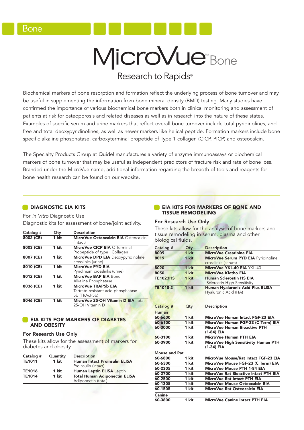# MicroVue<sup>®</sup>Bone

### Research to Rapids<sup>®</sup>

Biochemical markers of bone resorption and formation reflect the underlying process of bone turnover and may be useful in supplementing the information from bone mineral density (BMD) testing. Many studies have confirmed the importance of various biochemical bone markers both in clinical monitoring and assessment of patients at risk for osteoporosis and related diseases as well as in research into the nature of these states. Examples of specific serum and urine markers that reflect overall bone turnover include total pyridinolines, and free and total deoxypyridinolines, as well as newer markers like helical peptide. Formation markers include bone specific alkaline phosphatase, carboxyterminal propetide of Type 1 collagen (CICP, PICP) and osteocalcin.

The Specialty Products Group at Quidel manufactures a variety of enzyme immunoassays or biochemical markers of bone turnover that may be useful as independent predictors of fracture risk and rate of bone loss. Branded under the MicroVue name, additional information regarding the breadth of tools and reagents for bone health research can be found on our website.

#### **DIAGNOSTIC EIA KITS**

For In Vitro Diagnostic Use Diagnostic kits for assessment of bone/joint activity.

| Catalog # | Qtv   | Description                          |
|-----------|-------|--------------------------------------|
| 8002 (CE) | 1 kit | MicroVue Osteocalcin EIA Osteocalcin |
|           |       | (intact)                             |
| 8003 (CE) | 1 kit | <b>MicroVue CICP EIA C-Terminal</b>  |
|           |       | Propeptide of type I Collagen        |
| 8007 (CE) | 1 kit | MicroVue DPD EIA Deoxypyridinoline   |
|           |       | crosslinks (urine)                   |
| 8010 (CE) | 1 kit | MicroVue PYD EIA                     |
|           |       | Pyridinium crosslinks (urine)        |
| 8012 (CE) | 1 kit | MicroVue BAP EIA Bone                |
|           |       | Alkaline Phosphatase                 |
| 8036 (CE) | 1 kit | MicroVue TRAP5b EIA                  |
|           |       | Tartrate-resistant acid phosphatase  |
|           |       | 5b (TRAcP5b)                         |
| 8046 (CE) | 1 kit | MicroVue 25-OH Vitamin D EIA Total   |
|           |       | 25-OH Vitamin D                      |

#### **EIA KITS FOR MARKERS OF DIABETES** AND OBESITY

#### For Research Use Only

These kits allow for the assessment of markers for diabetes and obesity.

| Catalog #     | <b>Description</b><br>Quantity |                                      |  |  |  |
|---------------|--------------------------------|--------------------------------------|--|--|--|
| <b>TE1011</b> | 1 kit                          | <b>Human Intact Proinsulin ELISA</b> |  |  |  |
|               |                                | Proinsulin (intact)                  |  |  |  |
| <b>TE1016</b> | 1 kit                          | Human Leptin ELISA Leptin            |  |  |  |
| <b>TE1014</b> | 1 kit                          | <b>Total Human Adiponectin ELISA</b> |  |  |  |
|               |                                | Adiponectin (total)                  |  |  |  |
|               |                                |                                      |  |  |  |

#### **EIA KITS FOR MARKERS OF BONE AND** TISSUE REMODELING

#### For Research Use Only

These kits allow for the analysis of bone markers and tissue remodeling in serum, plasma and other biological fluids.

| Catalog #            | Qty   | <b>Description</b>                                            |
|----------------------|-------|---------------------------------------------------------------|
| 8009                 | 1 kit | <b>MicroVue Creatinine EIA</b>                                |
| 8019                 | 1 kit | MicroVue Serum PYD EIA Pyridinoline<br>crosslinks (serum)     |
| 8020                 | 1 kit | MicroVue YKL-40 EIA YKL-40                                    |
| 8050                 | 1 kit | MicroVue Klotho EIA                                           |
| <b>TE1023HS</b>      | 1 kit | <b>Human Sclerostin HS EIA</b><br>Sclerostin High Sensitivity |
| <b>TE1018-2</b>      | 1 kit | Human Hyaluronic Acid Plus ELISA<br>Hyaluronic Acid (HA)      |
|                      |       |                                                               |
| Catalog #            | Qty   | <b>Description</b>                                            |
| <b>Human</b>         |       |                                                               |
| 60-6600              | 1 kit | MicroVue Human Intact FGF-23 EIA                              |
| 60-6100              | 1 kit | MicroVue Human FGF-23 (C Term) EIA                            |
| 60-3000              | 1 kit | MicroVue Human Bioactive PTH<br>(1-84) EIA                    |
| 60-3100              | 1 kit | MicroVue Human PTH EIA                                        |
| 60-3900              | 1 kit | MicroVue High Sensitivity Human PTH<br>(1-34) EIA             |
| <b>Mouse and Rat</b> |       |                                                               |
| 60-6800              | 1 kit | MicroVue Mouse/Rat Intact FGF-23 EIA                          |
| 60-6300              | 1 kit | MicroVue Mouse FGF-23 (C Term) EIA                            |
| 60-2305              | 1 kit | MicroVue Mouse PTH 1-84 EIA                                   |
| 60-2700              | 1 kit | MicroVue Rat Bioactive Intact PTH EIA                         |
| 60-2500              | 1 kit | MicroVue Rat Intact PTH EIA                                   |
| 60-1305              | 1 kit | MicroVue Mouse Osteocalcin EIA                                |
| 60-1505              | 1 kit | MicroVue Rat Osteocalcin EIA                                  |
| Canine               |       |                                                               |
| 60-3800              | 1 kit | MicroVue Canine Intact PTH EIA                                |
|                      |       |                                                               |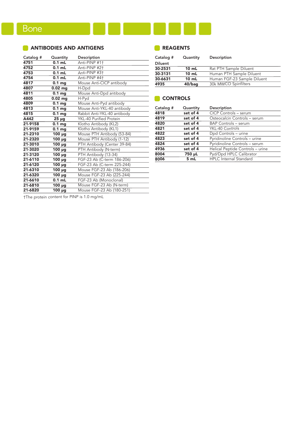#### **ANTIBODIES AND ANTIGENS**

| Catalog # | Quantity            | Description                    |
|-----------|---------------------|--------------------------------|
| 4751      | $0.1$ mL            | Anti-PINP #1+                  |
| 4752      | $0.1$ mL            | Anti-PINP #2+                  |
| 4753      | $0.1$ mL            | Anti-PINP #3+                  |
| 4754      | $0.1$ mL            | Anti-PINP #4+                  |
| 4817      | 0.1 <sub>mq</sub>   | Mouse Anti-CICP antibody       |
| 4807      | $0.02$ mg           | H-Dpd                          |
| 4811      | 0.1 <sub>mq</sub>   | Mouse Anti-Dpd antibody        |
| 4805      | $0.02$ mg           | H-Pyd                          |
| 4809      | 0.1 <sub>mg</sub>   | Mouse Anti-Pyd antibody        |
| 4813      | 0.1 <sub>mg</sub>   | Mouse Anti-YKL-40 antibody     |
| 4815      | 0.1 <sub>mg</sub>   | Rabbit Anti-YKL-40 antibody    |
| A442      | $25 \mu g$          | <b>YKL-40 Purified Protein</b> |
| 21-9158   | 0.1 <sub>mg</sub>   | Klotho Antibody (KL2)          |
| 21-9159   | 0.1 <sub>mg</sub>   | Klotho Antibody (KL1)          |
| 21-2310   | $100 \mu g$         | Mouse PTH Antibody (53-84)     |
| 21-2320   | $100 \mu g$         | Mouse PTH Antibody (1-12)      |
| 21-3010   | $100 \mu g$         | PTH Antibody (Center 39-84)    |
| 21-3020   | $100 \mu g$         | PTH Antibody (N-term)          |
| 21-3120   | $100 \mu g$         | PTH Antibody (13-34)           |
| 21-6110   | 100 µg              | FGF-23 Ab (C-term 186-206)     |
| 21-6120   | 100 µg              | FGF-23 Ab (C-term 225-244)     |
| 21-6310   | $100 \mu g$         | Mouse FGF-23 Ab (186-206)      |
| 21-6320   | $\overline{100}$ µg | Mouse FGF-23 Ab (225-244)      |
| 21-6610   | $0.1$ mL            | FGF-23 Ab (Monoclonal)         |
| 21-6810   | $100 \mu g$         | Mouse FGF-23 Ab (N-term)       |
| 21-6820   | 100 µg              | Mouse FGF-23 Ab (180-251)      |
|           |                     |                                |

#### **REAGENTS**

| Quantity                                  | Description                 |  |  |  |  |  |
|-------------------------------------------|-----------------------------|--|--|--|--|--|
|                                           |                             |  |  |  |  |  |
| $10 \text{ mL}$                           | Rat PTH Sample Diluent      |  |  |  |  |  |
| 10 mL                                     | Human PTH Sample Diluent    |  |  |  |  |  |
| 10 mL                                     | Human FGF-23 Sample Diluent |  |  |  |  |  |
| 30k MWCO Spinfilters<br>4935<br>$40/b$ aq |                             |  |  |  |  |  |
|                                           |                             |  |  |  |  |  |

#### CONTROLS

| Catalog # | Quantity | Description                      |
|-----------|----------|----------------------------------|
| 4818      | set of 4 | <b>CICP Controls - serum</b>     |
| 4819      | set of 4 | Osteocalcin Controls - serum     |
| 4820      | set of 4 | <b>BAP Controls - serum</b>      |
| 4821      | set of 4 | YKL-40 Controls                  |
| 4822      | set of 4 | Dpd Controls - urine             |
| 4823      | set of 4 | Pyridinoline Controls - urine    |
| 4824      | set of 4 | Pyridinoline Controls - serum    |
| 4936      | set of 4 | Helical Peptide Controls - urine |
| 8004      | 750 µL   | Pyd/Dpd HPLC Calibrator          |
| 8006      | 5 mL     | <b>HPLC</b> Internal Standard    |

†The protein content for PINP is 1.0 mg/mL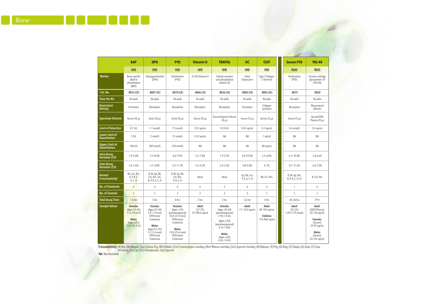|                                               | <b>BAP</b>                                                                                           | <b>DPD</b>                                                                                                                                         | <b>PYD</b>                                                                                                                                               | <b>Vitamin D</b>                     | <b>TRAP5b</b>                                                                                                                                                                              | <b>OC</b>                    | <b>CICP</b>                                        | <b>Serum PYD</b>                         | <b>YKL-40</b>                                                                                                                 |
|-----------------------------------------------|------------------------------------------------------------------------------------------------------|----------------------------------------------------------------------------------------------------------------------------------------------------|----------------------------------------------------------------------------------------------------------------------------------------------------------|--------------------------------------|--------------------------------------------------------------------------------------------------------------------------------------------------------------------------------------------|------------------------------|----------------------------------------------------|------------------------------------------|-------------------------------------------------------------------------------------------------------------------------------|
|                                               | <b>IVD</b>                                                                                           | <b>IVD</b>                                                                                                                                         | <b>IVD</b>                                                                                                                                               | <b>IVD</b>                           | <b>IVD</b>                                                                                                                                                                                 | <b>IVD</b>                   | <b>IVD</b>                                         | <b>RUO</b>                               | <b>RUO</b>                                                                                                                    |
| <b>Marker</b>                                 | Bone specific<br>alkaline<br>phosphatase<br>(BAP)                                                    | Deoxypyridinoline<br>(DPD)                                                                                                                         | Pyridinoline<br>(PYD)                                                                                                                                    | 25-OH Vitamin D                      | Tartrate-resistant<br>acid phosphatase<br>isoform 5b                                                                                                                                       | Intact<br>Osteocalcin        | Type I Collagen<br>C-Terminal                      | Pyridinoline<br>(PYD)                    | Human cartilage<br>glycoprotein 39<br>$(YLK-40)$                                                                              |
| Cat. No.                                      | 8012 (CE)                                                                                            | 8007 (CE)                                                                                                                                          | 8010 (CE)                                                                                                                                                | 8046 (CE)                            | 8036 (CE)                                                                                                                                                                                  | 8002 (CE)                    | 8003 (CE)                                          | 8019                                     | 8020                                                                                                                          |
| <b>Tests Per Kit</b>                          | 96 wells                                                                                             | 96 wells                                                                                                                                           | 96 wells                                                                                                                                                 | 96 wells                             | 96 wells                                                                                                                                                                                   | 96 wells                     | 96 wells                                           | 96 wells                                 | 96 wells                                                                                                                      |
| <b>Bone/Joint</b><br><b>Activity</b>          | Formation                                                                                            | Resorption                                                                                                                                         | Resorption                                                                                                                                               | Resorption                           | Resorption                                                                                                                                                                                 | Formation                    | Collagen<br>Synthesis                              | Resorption                               | Rheumatoid<br>Arthritis                                                                                                       |
| <b>Specimen Volume</b>                        | Serum 20 uL                                                                                          | Urine 50 uL                                                                                                                                        | Urine 50 uL                                                                                                                                              | Serum 50 µL                          | Serum/Heparin Plasma<br>$50 \mu L$                                                                                                                                                         | Serum 25 µL                  | Serum 25 µL                                        | Serum 25 µL                              | Serum/EDTA<br>Plasma 20 µL                                                                                                    |
| <b>Limit of Detection</b>                     | $0.7$ U/L                                                                                            | $1.1$ nmol/L                                                                                                                                       | 7.5 nmol/L                                                                                                                                               | $2.81$ ng/mL                         | $0.24$ U/L                                                                                                                                                                                 | $0.45$ ng/mL                 | $0.2$ ng/mL                                        | $0.4$ nmol/L                             | $5.4 \text{ ng/mL}$                                                                                                           |
| <b>Lower Limit of</b><br><b>Quantitation</b>  | $2$ U/L                                                                                              | 3 nmol/L                                                                                                                                           | 15 nmol/L                                                                                                                                                | $4.32$ ng/mL                         | <b>NA</b>                                                                                                                                                                                  | <b>NA</b>                    | $1$ ng/mL                                          | <b>NA</b>                                | <b>NA</b>                                                                                                                     |
| <b>Upper Limit of</b><br><b>Quantitation</b>  | 140 U/L                                                                                              | 300 nmol/L                                                                                                                                         | 750 nmol/L                                                                                                                                               | <b>NA</b>                            | <b>NA</b>                                                                                                                                                                                  | <b>NA</b>                    | 80 ng/mL                                           | <b>NA</b>                                | <b>NA</b>                                                                                                                     |
| <b>Intra-Assay</b><br>Variation (CV)          | $3.9 - 5.8%$                                                                                         | $4.3 - 8.4%$                                                                                                                                       | $6.6 - 9.9%$                                                                                                                                             | $2.5 - 7.8%$                         | $1.9 - 2.2%$                                                                                                                                                                               | 4.8-10.0%                    | $5.5 - 6.8%$                                       | $6.3 - 14.8%$                            | 5.6-6.6%                                                                                                                      |
| <b>Inter-Assay</b><br>Variation (CV)          | $5.0 - 7.6%$                                                                                         | $3.1 - 4.8%$                                                                                                                                       | 3.9-11.2%                                                                                                                                                | $4.3 - 9.2%$                         | $2.0 - 3.0%$                                                                                                                                                                               | 4.8-9.8%                     | $5 - 7%$                                           | 8.7-11.6%                                | $6.0 - 7.0%$                                                                                                                  |
| <b>Animal</b><br>Crossreactivity <sup>t</sup> | Rb, Cm, Rm,<br>B, P, D, S,<br>G, C, H                                                                | R, M, Gp, Rb,<br>Cm, Rm, Sm,<br>B, P, D, S, C, H                                                                                                   | R, M, Gp, Rb,<br>Cm, Rm,<br>P, D, S, H                                                                                                                   | None                                 | None                                                                                                                                                                                       | Gp, Rb, Cm,<br>P, S, G, C, H | Rb, Cm, Rm,                                        | R, M, Gp, Rm,<br>B, P, D, C, H, Ct       | B, Cm, Rm                                                                                                                     |
| <b>No. of Standards</b>                       | 6                                                                                                    | 6                                                                                                                                                  | 6                                                                                                                                                        | 6                                    | 5                                                                                                                                                                                          | 6                            | 6                                                  | $\mathbf{1}$                             | 6                                                                                                                             |
| <b>No. of Controls</b>                        | $\overline{2}$                                                                                       | 2                                                                                                                                                  | $\overline{2}$                                                                                                                                           | 2                                    | $\overline{2}$                                                                                                                                                                             | $\overline{2}$               | $\overline{2}$                                     | $\overline{2}$                           | $\overline{2}$                                                                                                                |
| <b>Total Assay Time</b>                       | 3.5 hrs                                                                                              | 3 hrs                                                                                                                                              | 4 hrs                                                                                                                                                    | 3 hrs                                | 2 hrs                                                                                                                                                                                      | 3.6 hrs                      | 4 hrs                                              | 20-26 hrs                                | 3 hrs                                                                                                                         |
| <b>Sample Values</b>                          | <b>Females</b><br>(Ages 25-44)<br>11.6-29.6 U/L<br><b>Males</b><br>$(Ages \geq 25)$<br>15.0-41.3 U/L | <b>Females</b><br>(Ages 25-44)<br>3.0-7.4 nmol<br>DPD/nmol<br>Creatinine<br><b>Males</b><br>(Ages 25-55)<br>2.3-5.4 nmol<br>DPD/nmol<br>Creatinine | <b>Females</b><br>(Aqes > 25)<br>(premenopausal)<br>16.0-37.0 nmol<br>PYD/mmol<br>Creatinine<br><b>Males</b><br>12.8-25.6 nmol<br>PYD/mmol<br>Creatinine | Adult<br>$(21-92)$<br>4.9-88.6 ng/mL | <b>Females</b><br>(Ages 30-44)<br>(premenopausal)<br>$2.9 \pm 1.4$ U/L<br>$(Ages \ge 50)$<br>(postmenopausal)<br>$4.3 \pm 1.5$ U/L<br><b>Males</b><br>$(Ages \ge 20)$<br>$4.0 \pm 1.4$ U/L | Adult<br>3.7-10.0 ng/mL      | Adult<br>69-103 ng/mL<br>Children<br>110-966 ng/mL | Adult<br>$(25 - 55)$<br>1.09-2.79 nmol/L | Adult<br>(EDTA Plasma)<br>20-130 ng/mL<br><b>Females</b><br>(Serum)<br>25-93 ng/mL<br><b>Males</b><br>(Serum)<br>24-125 ng/mL |

†**Crossr<mark>eactivity:</mark> (R) Rat, (M) Mouse, (Gp) Guinea Pig, (Rb) Rab**bit, (Cm) Cynomolgous monkey, (Rm) Rhesus monkey, (Sm) Squirrel monkey, (B) Baboon, (P) Pig, (D) Dog, (S) Sheep, (G) Goat, (C) Cow, (H) Horse, (Ct) Cat, (Ch) Chimpanzee, (Sq) Squirrel \* NA: Not Available